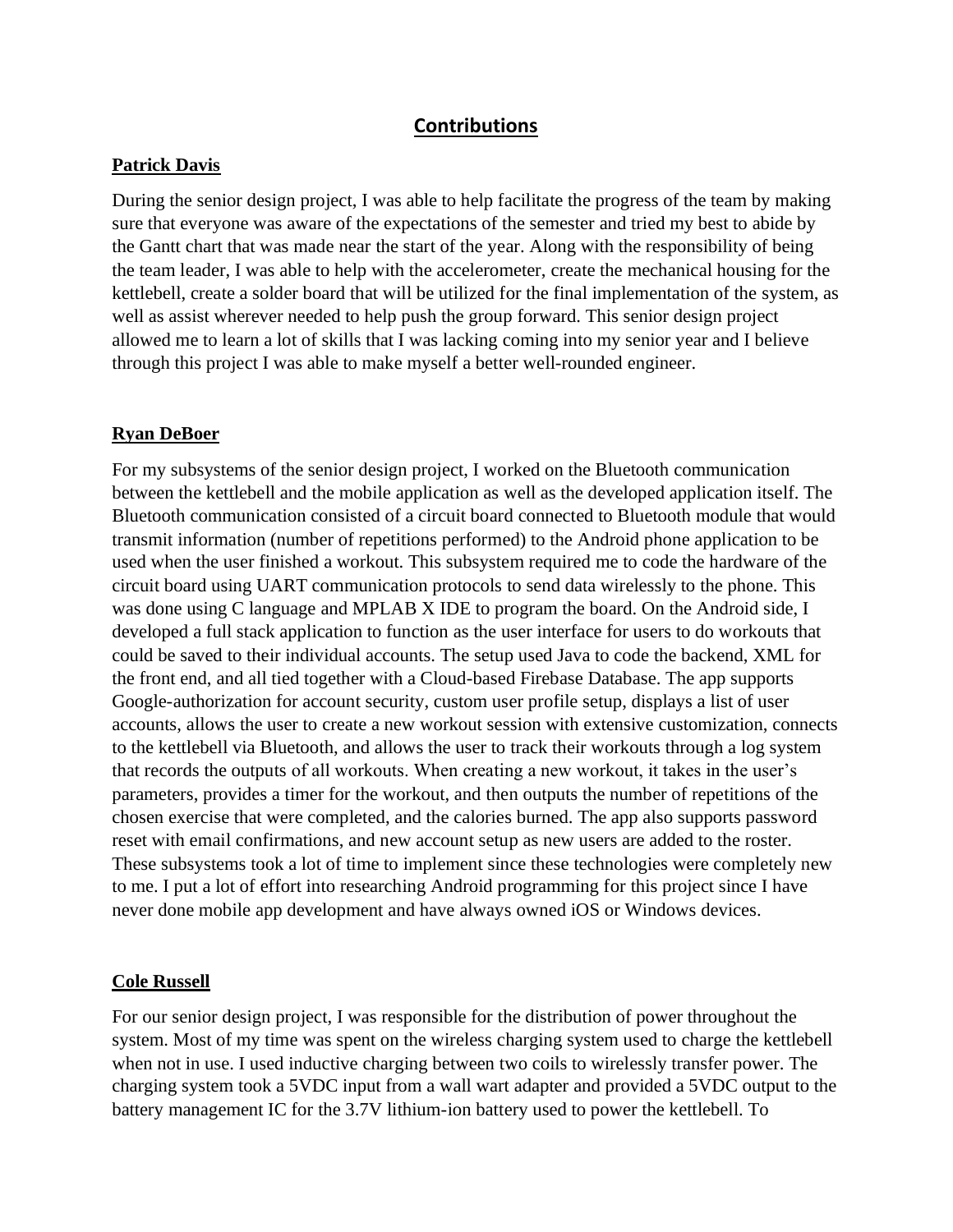## **Contributions**

## **Patrick Davis**

During the senior design project, I was able to help facilitate the progress of the team by making sure that everyone was aware of the expectations of the semester and tried my best to abide by the Gantt chart that was made near the start of the year. Along with the responsibility of being the team leader, I was able to help with the accelerometer, create the mechanical housing for the kettlebell, create a solder board that will be utilized for the final implementation of the system, as well as assist wherever needed to help push the group forward. This senior design project allowed me to learn a lot of skills that I was lacking coming into my senior year and I believe through this project I was able to make myself a better well-rounded engineer.

## **Ryan DeBoer**

For my subsystems of the senior design project, I worked on the Bluetooth communication between the kettlebell and the mobile application as well as the developed application itself. The Bluetooth communication consisted of a circuit board connected to Bluetooth module that would transmit information (number of repetitions performed) to the Android phone application to be used when the user finished a workout. This subsystem required me to code the hardware of the circuit board using UART communication protocols to send data wirelessly to the phone. This was done using C language and MPLAB X IDE to program the board. On the Android side, I developed a full stack application to function as the user interface for users to do workouts that could be saved to their individual accounts. The setup used Java to code the backend, XML for the front end, and all tied together with a Cloud-based Firebase Database. The app supports Google-authorization for account security, custom user profile setup, displays a list of user accounts, allows the user to create a new workout session with extensive customization, connects to the kettlebell via Bluetooth, and allows the user to track their workouts through a log system that records the outputs of all workouts. When creating a new workout, it takes in the user's parameters, provides a timer for the workout, and then outputs the number of repetitions of the chosen exercise that were completed, and the calories burned. The app also supports password reset with email confirmations, and new account setup as new users are added to the roster. These subsystems took a lot of time to implement since these technologies were completely new to me. I put a lot of effort into researching Android programming for this project since I have never done mobile app development and have always owned iOS or Windows devices.

## **Cole Russell**

For our senior design project, I was responsible for the distribution of power throughout the system. Most of my time was spent on the wireless charging system used to charge the kettlebell when not in use. I used inductive charging between two coils to wirelessly transfer power. The charging system took a 5VDC input from a wall wart adapter and provided a 5VDC output to the battery management IC for the 3.7V lithium-ion battery used to power the kettlebell. To